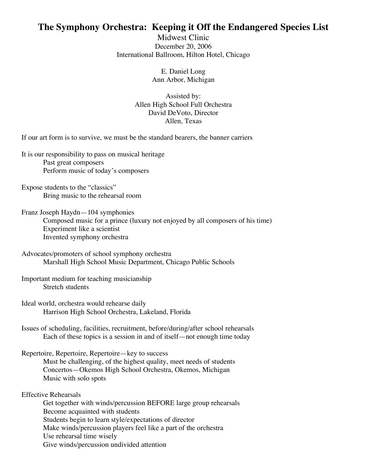## **The Symphony Orchestra: Keeping it Off the Endangered Species List**

Midwest Clinic December 20, 2006 International Ballroom, Hilton Hotel, Chicago

> E. Daniel Long Ann Arbor, Michigan

Assisted by: Allen High School Full Orchestra David DeVoto, Director Allen, Texas

If our art form is to survive, we must be the standard bearers, the banner carriers

It is our responsibility to pass on musical heritage Past great composers Perform music of today's composers

Expose students to the "classics" Bring music to the rehearsal room

Franz Joseph Haydn—104 symphonies Composed music for a prince (luxury not enjoyed by all composers of his time) Experiment like a scientist Invented symphony orchestra

Advocates/promoters of school symphony orchestra Marshall High School Music Department, Chicago Public Schools

Important medium for teaching musicianship Stretch students

Ideal world, orchestra would rehearse daily Harrison High School Orchestra, Lakeland, Florida

Issues of scheduling, facilities, recruitment, before/during/after school rehearsals Each of these topics is a session in and of itself—not enough time today

Repertoire, Repertoire, Repertoire—key to success

Must be challenging, of the highest quality, meet needs of students Concertos—Okemos High School Orchestra, Okemos, Michigan Music with solo spots

Effective Rehearsals

Get together with winds/percussion BEFORE large group rehearsals Become acquainted with students Students begin to learn style/expectations of director Make winds/percussion players feel like a part of the orchestra Use rehearsal time wisely Give winds/percussion undivided attention